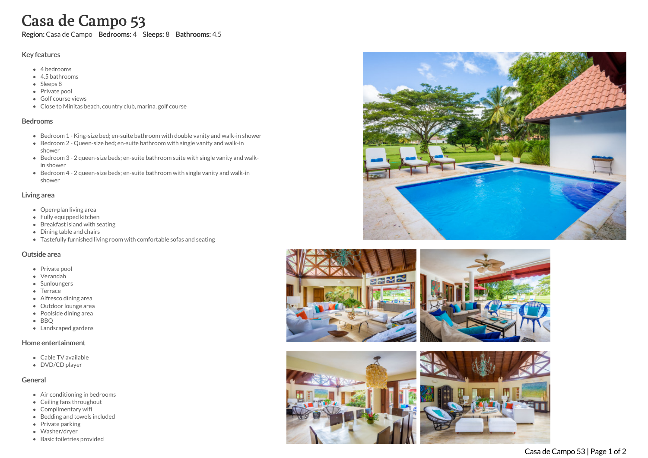# Casa de Campo 53

Region: Casa de Campo Bedrooms: 4 Sleeps: 8 Bathrooms: 4.5

#### Key features

- 4 b e d r o o m s
- 4.5 b a t h r o o m s
- Sleeps 8
- Private pool
- Golf course vie w s
- Close to Minitas beach, country club, marina, golf course

## **Bedrooms**

- Bedroom 1 King-size bed; en-suite bathroom with double vanity and walk-in shower
- Bedroom 2 Queen-size bed; en-suite bathroom with single vanity and walk-in s h o w e r
- Bedroom 3 2 queen-size beds; en-suite bathroom suite with single vanity and walkin shower
- Bedroom 4 2 queen-size beds; en-suite bathroom with single vanity and walk-in shower

#### Living area

- Open-plan living area
- Fully equipped kitchen
- Breakfast island with seating
- Dining table and chairs
- Tastefully furnished living room with comfortable sofas and seating

#### Outside area

- Private pool
- Verandah
- Sunloungers
- Terrace
- Alfresco dining area
- Outdoor lounge area
- Poolside dining area
- B B Q
- Landscaped gardens

## Home entertainment

- Cable TV available
- DVD/CD player

## General

- Air conditioning in bedrooms
- Ceiling fans throughout
- Complimentary wifi
- Bedding and towels included
- Private parking
- Washer/dryer
- Basic toiletries provided